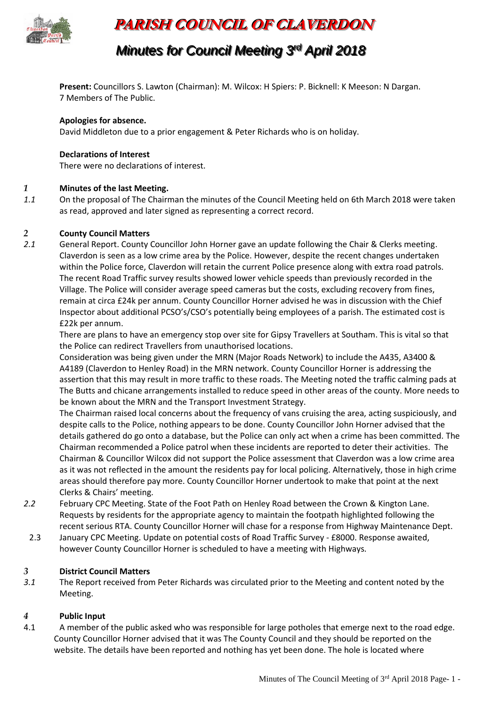

# **PARISH COUNCIL OF CLAVERDON**

# *Minutes for Council l Meeting 3 r rdd April 2018*

**Present:** Councillors S. Lawton (Chairman): M. Wilcox: H Spiers: P. Bicknell: K Meeson: N Dargan. 7 Members of The Public.

## **Apologies for absence.**

David Middleton due to a prior engagement & Peter Richards who is on holiday.

## **Declarations of Interest**

There were no declarations of interest.

## *1* **Minutes of the last Meeting.**

*1.1* On the proposal of The Chairman the minutes of the Council Meeting held on 6th March 2018 were taken as read, approved and later signed as representing a correct record.

## *2* **County Council Matters**

*2.1* General Report. County Councillor John Horner gave an update following the Chair & Clerks meeting. Claverdon is seen as a low crime area by the Police. However, despite the recent changes undertaken within the Police force, Claverdon will retain the current Police presence along with extra road patrols. The recent Road Traffic survey results showed lower vehicle speeds than previously recorded in the Village. The Police will consider average speed cameras but the costs, excluding recovery from fines, remain at circa £24k per annum. County Councillor Horner advised he was in discussion with the Chief Inspector about additional PCSO's/CSO's potentially being employees of a parish. The estimated cost is £22k per annum.

There are plans to have an emergency stop over site for Gipsy Travellers at Southam. This is vital so that the Police can redirect Travellers from unauthorised locations.

Consideration was being given under the MRN (Major Roads Network) to include the A435, A3400 & A4189 (Claverdon to Henley Road) in the MRN network. County Councillor Horner is addressing the assertion that this may result in more traffic to these roads. The Meeting noted the traffic calming pads at The Butts and chicane arrangements installed to reduce speed in other areas of the county. More needs to be known about the MRN and the Transport Investment Strategy.

The Chairman raised local concerns about the frequency of vans cruising the area, acting suspiciously, and despite calls to the Police, nothing appears to be done. County Councillor John Horner advised that the details gathered do go onto a database, but the Police can only act when a crime has been committed. The Chairman recommended a Police patrol when these incidents are reported to deter their activities. The Chairman & Councillor Wilcox did not support the Police assessment that Claverdon was a low crime area as it was not reflected in the amount the residents pay for local policing. Alternatively, those in high crime areas should therefore pay more. County Councillor Horner undertook to make that point at the next Clerks & Chairs' meeting.

- *2.2* February CPC Meeting. State of the Foot Path on Henley Road between the Crown & Kington Lane. Requests by residents for the appropriate agency to maintain the footpath highlighted following the recent serious RTA. County Councillor Horner will chase for a response from Highway Maintenance Dept.
- 2.3 January CPC Meeting. Update on potential costs of Road Traffic Survey £8000. Response awaited, however County Councillor Horner is scheduled to have a meeting with Highways.

# *3* **District Council Matters**

*3.1* The Report received from Peter Richards was circulated prior to the Meeting and content noted by the Meeting.

# *4* **Public Input**

4.1 A member of the public asked who was responsible for large potholes that emerge next to the road edge. County Councillor Horner advised that it was The County Council and they should be reported on the website. The details have been reported and nothing has yet been done. The hole is located where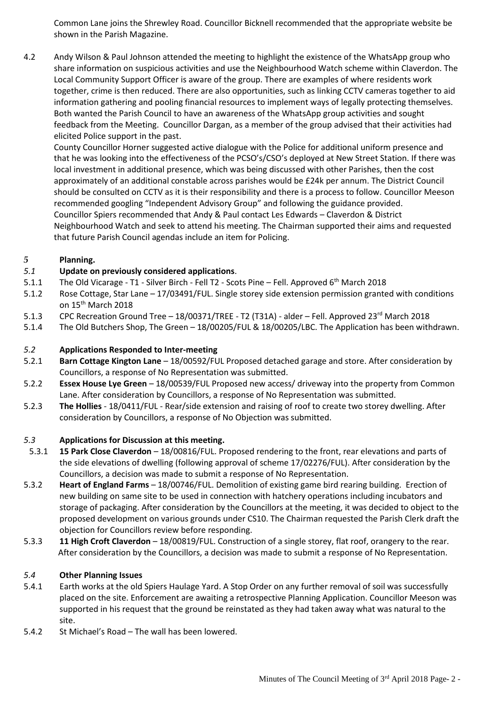Common Lane joins the Shrewley Road. Councillor Bicknell recommended that the appropriate website be shown in the Parish Magazine.

4.2 Andy Wilson & Paul Johnson attended the meeting to highlight the existence of the WhatsApp group who share information on suspicious activities and use the Neighbourhood Watch scheme within Claverdon. The Local Community Support Officer is aware of the group. There are examples of where residents work together, crime is then reduced. There are also opportunities, such as linking CCTV cameras together to aid information gathering and pooling financial resources to implement ways of legally protecting themselves. Both wanted the Parish Council to have an awareness of the WhatsApp group activities and sought feedback from the Meeting. Councillor Dargan, as a member of the group advised that their activities had elicited Police support in the past.

County Councillor Horner suggested active dialogue with the Police for additional uniform presence and that he was looking into the effectiveness of the PCSO's/CSO's deployed at New Street Station. If there was local investment in additional presence, which was being discussed with other Parishes, then the cost approximately of an additional constable across parishes would be £24k per annum. The District Council should be consulted on CCTV as it is their responsibility and there is a process to follow. Councillor Meeson recommended googling "Independent Advisory Group" and following the guidance provided. Councillor Spiers recommended that Andy & Paul contact Les Edwards – Claverdon & District Neighbourhood Watch and seek to attend his meeting. The Chairman supported their aims and requested that future Parish Council agendas include an item for Policing.

# *5* **Planning.**

# *5.1* **Update on previously considered applications**.

- 5.1.1 The Old Vicarage T1 Silver Birch Fell T2 Scots Pine Fell. Approved 6th March 2018
- 5.1.2 Rose Cottage, Star Lane 17/03491/FUL. Single storey side extension permission granted with conditions on 15<sup>th</sup> March 2018
- 5.1.3 CPC Recreation Ground Tree 18/00371/TREE T2 (T31A) alder Fell. Approved 23<sup>rd</sup> March 2018
- 5.1.4 The Old Butchers Shop, The Green 18/00205/FUL & 18/00205/LBC. The Application has been withdrawn.

# *5.2* **Applications Responded to Inter-meeting**

- 5.2.1 **Barn Cottage Kington Lane** 18/00592/FUL Proposed detached garage and store. After consideration by Councillors, a response of No Representation was submitted.
- 5.2.2 **Essex House Lye Green** 18/00539/FUL Proposed new access/ driveway into the property from Common Lane. After consideration by Councillors, a response of No Representation was submitted.
- 5.2.3 **The Hollies** 18/0411/FUL Rear/side extension and raising of roof to create two storey dwelling. After consideration by Councillors, a response of No Objection was submitted.

# *5.3* **Applications for Discussion at this meeting.**

- 5.3.1 **15 Park Close Claverdon** 18/00816/FUL. Proposed rendering to the front, rear elevations and parts of the side elevations of dwelling (following approval of scheme 17/02276/FUL). After consideration by the Councillors, a decision was made to submit a response of No Representation.
- 5.3.2 **Heart of England Farms** 18/00746/FUL. Demolition of existing game bird rearing building. Erection of new building on same site to be used in connection with hatchery operations including incubators and storage of packaging. After consideration by the Councillors at the meeting, it was decided to object to the proposed development on various grounds under CS10. The Chairman requested the Parish Clerk draft the objection for Councillors review before responding.
- 5.3.3 **11 High Croft Claverdon** 18/00819/FUL. Construction of a single storey, flat roof, orangery to the rear. After consideration by the Councillors, a decision was made to submit a response of No Representation.

# *5.4* **Other Planning Issues**

- 5.4.1 Earth works at the old Spiers Haulage Yard. A Stop Order on any further removal of soil was successfully placed on the site. Enforcement are awaiting a retrospective Planning Application. Councillor Meeson was supported in his request that the ground be reinstated as they had taken away what was natural to the site.
- 5.4.2 St Michael's Road The wall has been lowered.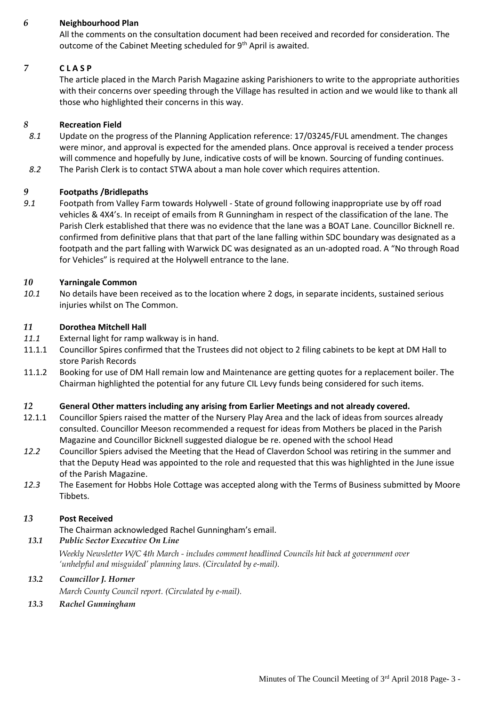# *6* **Neighbourhood Plan**

All the comments on the consultation document had been received and recorded for consideration. The outcome of the Cabinet Meeting scheduled for 9<sup>th</sup> April is awaited.

# *7* **C L A S P**

The article placed in the March Parish Magazine asking Parishioners to write to the appropriate authorities with their concerns over speeding through the Village has resulted in action and we would like to thank all those who highlighted their concerns in this way.

### *8* **Recreation Field**

- *8.1* Update on the progress of the Planning Application reference: 17/03245/FUL amendment. The changes were minor, and approval is expected for the amended plans. Once approval is received a tender process will commence and hopefully by June, indicative costs of will be known. Sourcing of funding continues.
- *8.2* The Parish Clerk is to contact STWA about a man hole cover which requires attention.

## *9* **Footpaths /Bridlepaths**

*9.1* Footpath from Valley Farm towards Holywell - State of ground following inappropriate use by off road vehicles & 4X4's. In receipt of emails from R Gunningham in respect of the classification of the lane. The Parish Clerk established that there was no evidence that the lane was a BOAT Lane. Councillor Bicknell re. confirmed from definitive plans that that part of the lane falling within SDC boundary was designated as a footpath and the part falling with Warwick DC was designated as an un-adopted road. A "No through Road for Vehicles" is required at the Holywell entrance to the lane.

# *10* **Yarningale Common**

*10.1* No details have been received as to the location where 2 dogs, in separate incidents, sustained serious injuries whilst on The Common.

#### *11* **Dorothea Mitchell Hall**

- *11.1* External light for ramp walkway is in hand.
- 11.1.1 Councillor Spires confirmed that the Trustees did not object to 2 filing cabinets to be kept at DM Hall to store Parish Records
- 11.1.2 Booking for use of DM Hall remain low and Maintenance are getting quotes for a replacement boiler. The Chairman highlighted the potential for any future CIL Levy funds being considered for such items.

#### *12* **General Other matters including any arising from Earlier Meetings and not already covered.**

- 12.1.1 Councillor Spiers raised the matter of the Nursery Play Area and the lack of ideas from sources already consulted. Councillor Meeson recommended a request for ideas from Mothers be placed in the Parish Magazine and Councillor Bicknell suggested dialogue be re. opened with the school Head
- *12.2* Councillor Spiers advised the Meeting that the Head of Claverdon School was retiring in the summer and that the Deputy Head was appointed to the role and requested that this was highlighted in the June issue of the Parish Magazine.
- *12.3* The Easement for Hobbs Hole Cottage was accepted along with the Terms of Business submitted by Moore Tibbets.

## *13* **Post Received**

The Chairman acknowledged Rachel Gunningham's email.

#### *13.1 Public Sector Executive On Line*

*Weekly Newsletter W/C 4th March - includes comment headlined Councils hit back at government over 'unhelpful and misguided' planning laws. (Circulated by e-mail).* 

#### *13.2 Councillor J. Horner*

*March County Council report. (Circulated by e-mail).* 

*13.3 Rachel Gunningham*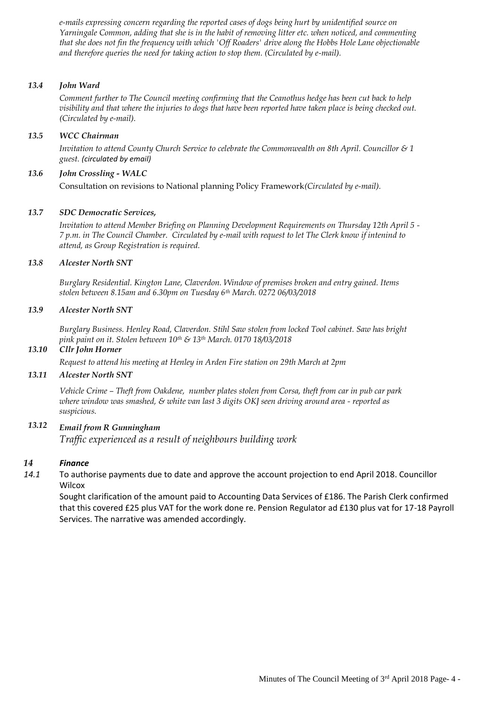*e-mails expressing concern regarding the reported cases of dogs being hurt by unidentified source on Yarningale Common, adding that she is in the habit of removing litter etc. when noticed, and commenting that she does not fin the frequency with which 'Off Roaders' drive along the Hobbs Hole Lane objectionable and therefore queries the need for taking action to stop them. (Circulated by e-mail).* 

## *13.4 John Ward*

*Comment further to The Council meeting confirming that the Ceanothus hedge has been cut back to help visibility and that where the injuries to dogs that have been reported have taken place is being checked out. (Circulated by e-mail).* 

### *13.5 WCC Chairman*

*Invitation to attend County Church Service to celebrate the Commonwealth on 8th April. Councillor & 1 guest. (circulated by email)*

## *13.6 John Crossling - WALC*

Consultation on revisions to National planning Policy Framework*(Circulated by e-mail).* 

## *13.7 SDC Democratic Services,*

*Invitation to attend Member Briefing on Planning Development Requirements on Thursday 12th April 5 - 7 p.m. in The Council Chamber. Circulated by e-mail with request to let The Clerk know if intenind to attend, as Group Registration is required.* 

## *13.8 Alcester North SNT*

*Burglary Residential. Kington Lane, Claverdon. Window of premises broken and entry gained. Items stolen between 8.15am and 6.30pm on Tuesday 6th March. 0272 06/03/2018*

## *13.9 Alcester North SNT*

*Burglary Business. Henley Road, Claverdon. Stihl Saw stolen from locked Tool cabinet. Saw has bright pink paint on it. Stolen between 10th & 13th March. 0170 18/03/2018*

### *13.10 Cllr John Horner*

*Request to attend his meeting at Henley in Arden Fire station on 29th March at 2pm*

# *13.11 Alcester North SNT*

*Vehicle Crime – Theft from Oakdene, number plates stolen from Corsa, theft from car in pub car park where window was smashed, & white van last 3 digits OKJ seen driving around area - reported as suspicious.*

# *13.12 Email from R Gunningham Traffic experienced as a result of neighbours building work*

#### *14 Finance*

*14.1* To authorise payments due to date and approve the account projection to end April 2018. Councillor **Wilcox** 

Sought clarification of the amount paid to Accounting Data Services of £186. The Parish Clerk confirmed that this covered £25 plus VAT for the work done re. Pension Regulator ad £130 plus vat for 17-18 Payroll Services. The narrative was amended accordingly.